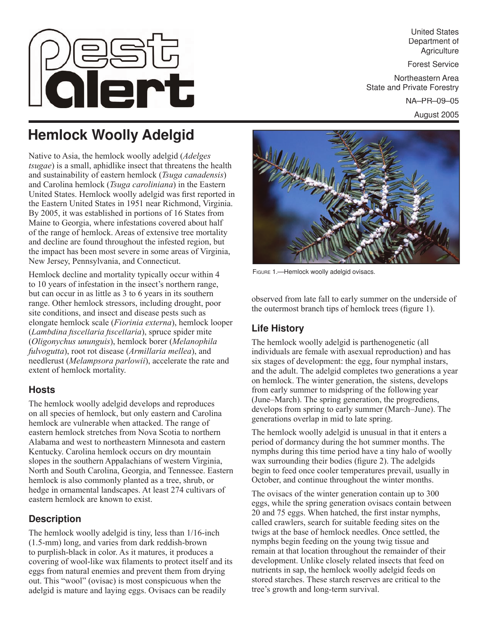

United States Department of **Agriculture** 

Forest Service

Northeastern Area State and Private Forestry

NA–PR–09–05

August 2005

# **Hemlock Woolly Adelgid**

Native to Asia, the hemlock woolly adelgid (*Adelges tsugae*) is a small, aphidlike insect that threatens the health and sustainability of eastern hemlock (*Tsuga canadensis*) and Carolina hemlock (*Tsuga caroliniana*) in the Eastern United States. Hemlock woolly adelgid was first reported in the Eastern United States in 1951 near Richmond, Virginia. By 2005, it was established in portions of 16 States from Maine to Georgia, where infestations covered about half of the range of hemlock. Areas of extensive tree mortality and decline are found throughout the infested region, but the impact has been most severe in some areas of Virginia, New Jersey, Pennsylvania, and Connecticut.

Hemlock decline and mortality typically occur within 4 to 10 years of infestation in the insect's northern range, but can occur in as little as 3 to 6 years in its southern range. Other hemlock stressors, including drought, poor site conditions, and insect and disease pests such as elongate hemlock scale (*Fiorinia externa*), hemlock looper (*Lambdina fi scellaria fi scellaria*), spruce spider mite (*Oligonychus ununguis*), hemlock borer (*Melanophila fulvogutta*), root rot disease (*Armillaria mellea*), and needlerust (*Melampsora parlowii*), accelerate the rate and extent of hemlock mortality.

### **Hosts**

The hemlock woolly adelgid develops and reproduces on all species of hemlock, but only eastern and Carolina hemlock are vulnerable when attacked. The range of eastern hemlock stretches from Nova Scotia to northern Alabama and west to northeastern Minnesota and eastern Kentucky. Carolina hemlock occurs on dry mountain slopes in the southern Appalachians of western Virginia, North and South Carolina, Georgia, and Tennessee. Eastern hemlock is also commonly planted as a tree, shrub, or hedge in ornamental landscapes. At least 274 cultivars of eastern hemlock are known to exist.

# **Description**

The hemlock woolly adelgid is tiny, less than 1/16-inch (1.5-mm) long, and varies from dark reddish-brown to purplish-black in color. As it matures, it produces a covering of wool-like wax filaments to protect itself and its eggs from natural enemies and prevent them from drying out. This "wool" (ovisac) is most conspicuous when the adelgid is mature and laying eggs. Ovisacs can be readily



FIGURE 1.-Hemlock woolly adelgid ovisacs.

observed from late fall to early summer on the underside of the outermost branch tips of hemlock trees (figure 1).

# **Life History**

The hemlock woolly adelgid is parthenogenetic (all individuals are female with asexual reproduction) and has six stages of development: the egg, four nymphal instars, and the adult. The adelgid completes two generations a year on hemlock. The winter generation, the sistens, develops from early summer to midspring of the following year (June–March). The spring generation, the progrediens, develops from spring to early summer (March–June). The generations overlap in mid to late spring.

The hemlock woolly adelgid is unusual in that it enters a period of dormancy during the hot summer months. The nymphs during this time period have a tiny halo of woolly wax surrounding their bodies (figure 2). The adelgids begin to feed once cooler temperatures prevail, usually in October, and continue throughout the winter months.

The ovisacs of the winter generation contain up to 300 eggs, while the spring generation ovisacs contain between 20 and 75 eggs. When hatched, the first instar nymphs, called crawlers, search for suitable feeding sites on the twigs at the base of hemlock needles. Once settled, the nymphs begin feeding on the young twig tissue and remain at that location throughout the remainder of their development. Unlike closely related insects that feed on nutrients in sap, the hemlock woolly adelgid feeds on stored starches. These starch reserves are critical to the tree's growth and long-term survival.